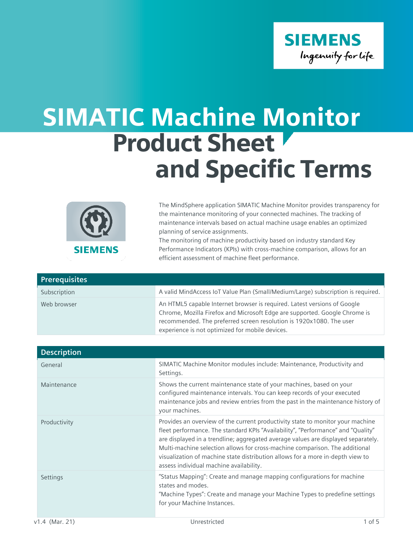

## SIMATIC Machine Monitor Product Sheet and Specific Terms



The MindSphere application SIMATIC Machine Monitor provides transparency for the maintenance monitoring of your connected machines. The tracking of maintenance intervals based on actual machine usage enables an optimized planning of service assignments.

The monitoring of machine productivity based on industry standard Key Performance Indicators (KPIs) with cross-machine comparison, allows for an efficient assessment of machine fleet performance.

| <b>Prerequisites</b> |                                                                                                                                                                                                                                                                                  |
|----------------------|----------------------------------------------------------------------------------------------------------------------------------------------------------------------------------------------------------------------------------------------------------------------------------|
| Subscription         | A valid MindAccess IoT Value Plan (Small/Medium/Large) subscription is required.                                                                                                                                                                                                 |
| Web browser          | An HTML5 capable Internet browser is required. Latest versions of Google<br>Chrome, Mozilla Firefox and Microsoft Edge are supported. Google Chrome is<br>recommended. The preferred screen resolution is 1920x1080. The user<br>experience is not optimized for mobile devices. |

| <b>Description</b> |                                                                                                                                                                                                                                                                                                                                                                                                                                                                     |
|--------------------|---------------------------------------------------------------------------------------------------------------------------------------------------------------------------------------------------------------------------------------------------------------------------------------------------------------------------------------------------------------------------------------------------------------------------------------------------------------------|
| General            | SIMATIC Machine Monitor modules include: Maintenance, Productivity and<br>Settings.                                                                                                                                                                                                                                                                                                                                                                                 |
| Maintenance        | Shows the current maintenance state of your machines, based on your<br>configured maintenance intervals. You can keep records of your executed<br>maintenance jobs and review entries from the past in the maintenance history of<br>your machines.                                                                                                                                                                                                                 |
| Productivity       | Provides an overview of the current productivity state to monitor your machine<br>fleet performance. The standard KPIs "Availability", "Performance" and "Quality"<br>are displayed in a trendline; aggregated average values are displayed separately.<br>Multi-machine selection allows for cross-machine comparison. The additional<br>visualization of machine state distribution allows for a more in-depth view to<br>assess individual machine availability. |
| Settings           | "Status Mapping": Create and manage mapping configurations for machine<br>states and modes.<br>"Machine Types": Create and manage your Machine Types to predefine settings<br>for your Machine Instances.                                                                                                                                                                                                                                                           |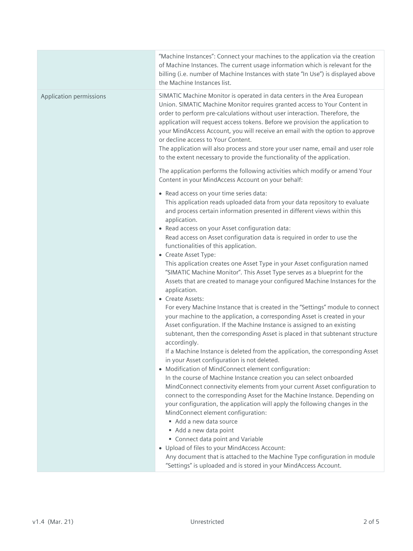|                         | "Machine Instances": Connect your machines to the application via the creation<br>of Machine Instances. The current usage information which is relevant for the<br>billing (i.e. number of Machine Instances with state "In Use") is displayed above<br>the Machine Instances list.                                                                                                                                                                                                                                                                                                                                                                                                                                                                                                                                                                                                                                                                                                                                                                                                                                                                                                                                                                                                                                                                                                                                                                                                                                                                                                                                                                                                                                                                                                                                                                                          |
|-------------------------|------------------------------------------------------------------------------------------------------------------------------------------------------------------------------------------------------------------------------------------------------------------------------------------------------------------------------------------------------------------------------------------------------------------------------------------------------------------------------------------------------------------------------------------------------------------------------------------------------------------------------------------------------------------------------------------------------------------------------------------------------------------------------------------------------------------------------------------------------------------------------------------------------------------------------------------------------------------------------------------------------------------------------------------------------------------------------------------------------------------------------------------------------------------------------------------------------------------------------------------------------------------------------------------------------------------------------------------------------------------------------------------------------------------------------------------------------------------------------------------------------------------------------------------------------------------------------------------------------------------------------------------------------------------------------------------------------------------------------------------------------------------------------------------------------------------------------------------------------------------------------|
| Application permissions | SIMATIC Machine Monitor is operated in data centers in the Area European<br>Union. SIMATIC Machine Monitor requires granted access to Your Content in<br>order to perform pre-calculations without user interaction. Therefore, the<br>application will request access tokens. Before we provision the application to<br>your MindAccess Account, you will receive an email with the option to approve<br>or decline access to Your Content.<br>The application will also process and store your user name, email and user role<br>to the extent necessary to provide the functionality of the application.                                                                                                                                                                                                                                                                                                                                                                                                                                                                                                                                                                                                                                                                                                                                                                                                                                                                                                                                                                                                                                                                                                                                                                                                                                                                  |
|                         | The application performs the following activities which modify or amend Your<br>Content in your MindAccess Account on your behalf:                                                                                                                                                                                                                                                                                                                                                                                                                                                                                                                                                                                                                                                                                                                                                                                                                                                                                                                                                                                                                                                                                                                                                                                                                                                                                                                                                                                                                                                                                                                                                                                                                                                                                                                                           |
|                         | • Read access on your time series data:<br>This application reads uploaded data from your data repository to evaluate<br>and process certain information presented in different views within this<br>application.<br>• Read access on your Asset configuration data:<br>Read access on Asset configuration data is required in order to use the<br>functionalities of this application.<br>• Create Asset Type:<br>This application creates one Asset Type in your Asset configuration named<br>"SIMATIC Machine Monitor". This Asset Type serves as a blueprint for the<br>Assets that are created to manage your configured Machine Instances for the<br>application.<br>• Create Assets:<br>For every Machine Instance that is created in the "Settings" module to connect<br>your machine to the application, a corresponding Asset is created in your<br>Asset configuration. If the Machine Instance is assigned to an existing<br>subtenant, then the corresponding Asset is placed in that subtenant structure<br>accordingly.<br>If a Machine Instance is deleted from the application, the corresponding Asset<br>in your Asset configuration is not deleted.<br>• Modification of MindConnect element configuration:<br>In the course of Machine Instance creation you can select onboarded<br>MindConnect connectivity elements from your current Asset configuration to<br>connect to the corresponding Asset for the Machine Instance. Depending on<br>your configuration, the application will apply the following changes in the<br>MindConnect element configuration:<br>Add a new data source<br>Add a new data point<br>Connect data point and Variable<br>• Upload of files to your MindAccess Account:<br>Any document that is attached to the Machine Type configuration in module<br>"Settings" is uploaded and is stored in your MindAccess Account. |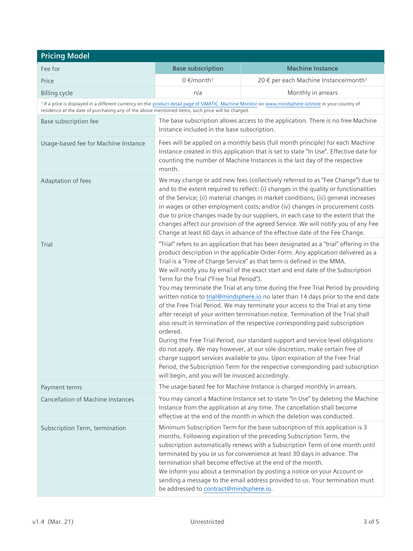| <b>Pricing Model</b>                                                                              |                                                                                                            |                                                                                                                                                                                                                                                                                                                                                                                                                                                                                                                                                                                                                                                                                                                                                                                                                                                                                                                                                                                                                                                                                                                |
|---------------------------------------------------------------------------------------------------|------------------------------------------------------------------------------------------------------------|----------------------------------------------------------------------------------------------------------------------------------------------------------------------------------------------------------------------------------------------------------------------------------------------------------------------------------------------------------------------------------------------------------------------------------------------------------------------------------------------------------------------------------------------------------------------------------------------------------------------------------------------------------------------------------------------------------------------------------------------------------------------------------------------------------------------------------------------------------------------------------------------------------------------------------------------------------------------------------------------------------------------------------------------------------------------------------------------------------------|
| Fee for                                                                                           | <b>Base subscription</b>                                                                                   | <b>Machine Instance</b>                                                                                                                                                                                                                                                                                                                                                                                                                                                                                                                                                                                                                                                                                                                                                                                                                                                                                                                                                                                                                                                                                        |
| Price                                                                                             | $0 \in$ /month <sup>1</sup>                                                                                | 20 € per each Machine Instance/month <sup>1</sup>                                                                                                                                                                                                                                                                                                                                                                                                                                                                                                                                                                                                                                                                                                                                                                                                                                                                                                                                                                                                                                                              |
| <b>Billing cycle</b>                                                                              | n/a                                                                                                        | Monthly in arrears                                                                                                                                                                                                                                                                                                                                                                                                                                                                                                                                                                                                                                                                                                                                                                                                                                                                                                                                                                                                                                                                                             |
| residence at the date of purchasing any of the above mentioned items, such price will be charged. |                                                                                                            | <sup>1</sup> If a price is displayed in a different currency on the product detail page of SIMATIC Machine Monitor on www.mindsphere.io/store in your country of                                                                                                                                                                                                                                                                                                                                                                                                                                                                                                                                                                                                                                                                                                                                                                                                                                                                                                                                               |
| Base subscription fee                                                                             | Instance included in the base subscription.                                                                | The base subscription allows access to the application. There is no free Machine                                                                                                                                                                                                                                                                                                                                                                                                                                                                                                                                                                                                                                                                                                                                                                                                                                                                                                                                                                                                                               |
| Usage-based fee for Machine Instance                                                              | month.                                                                                                     | Fees will be applied on a monthly basis (full month principle) for each Machine<br>Instance created in this application that is set to state "In Use". Effective date for<br>counting the number of Machine Instances is the last day of the respective                                                                                                                                                                                                                                                                                                                                                                                                                                                                                                                                                                                                                                                                                                                                                                                                                                                        |
| Adaptation of fees                                                                                |                                                                                                            | We may change or add new fees (collectively referred to as "Fee Change") due to<br>and to the extent required to reflect: (i) changes in the quality or functionalities<br>of the Service; (ii) material changes in market conditions; (iii) general increases<br>in wages or other employment costs; and/or (iv) changes in procurement costs<br>due to price changes made by our suppliers, in each case to the extent that the<br>changes affect our provision of the agreed Service. We will notify you of any Fee<br>Change at least 60 days in advance of the effective date of the Fee Change.                                                                                                                                                                                                                                                                                                                                                                                                                                                                                                          |
| Trial                                                                                             | Term for the Trial ("Free Trial Period").<br>ordered.<br>will begin, and you will be invoiced accordingly. | "Trial" refers to an application that has been designated as a "trial" offering in the<br>product description in the applicable Order Form. Any application delivered as a<br>Trial is a "Free of Charge Service" as that term is defined in the MMA.<br>We will notify you by email of the exact start and end date of the Subscription<br>You may terminate the Trial at any time during the Free Trial Period by providing<br>written notice to trial@mindsphere.io no later than 14 days prior to the end date<br>of the Free Trial Period. We may terminate your access to the Trial at any time<br>after receipt of your written termination notice. Termination of the Trial shall<br>also result in termination of the respective corresponding paid subscription<br>During the Free Trial Period, our standard support and service level obligations<br>do not apply. We may however, at our sole discretion, make certain free of<br>charge support services available to you. Upon expiration of the Free Trial<br>Period, the Subscription Term for the respective corresponding paid subscription |
| Payment terms                                                                                     |                                                                                                            | The usage-based fee for Machine Instance is charged monthly in arrears.                                                                                                                                                                                                                                                                                                                                                                                                                                                                                                                                                                                                                                                                                                                                                                                                                                                                                                                                                                                                                                        |
| <b>Cancellation of Machine Instances</b>                                                          |                                                                                                            | You may cancel a Machine Instance set to state "In Use" by deleting the Machine<br>Instance from the application at any time. The cancellation shall become<br>effective at the end of the month in which the deletion was conducted.                                                                                                                                                                                                                                                                                                                                                                                                                                                                                                                                                                                                                                                                                                                                                                                                                                                                          |
| Subscription Term, termination                                                                    | be addressed to contract@mindsphere.io.                                                                    | Minimum Subscription Term for the base subscription of this application is 3<br>months. Following expiration of the preceding Subscription Term, the<br>subscription automatically renews with a Subscription Term of one month until<br>terminated by you or us for convenience at least 30 days in advance. The<br>termination shall become effective at the end of the month.<br>We inform you about a termination by posting a notice on your Account or<br>sending a message to the email address provided to us. Your termination must                                                                                                                                                                                                                                                                                                                                                                                                                                                                                                                                                                   |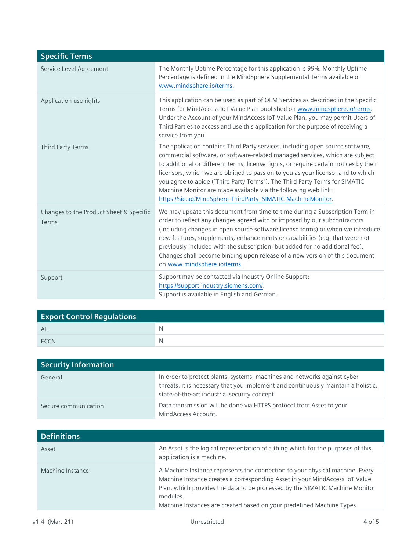| <b>Specific Terms</b>                            |                                                                                                                                                                                                                                                                                                                                                                                                                                                                                                                                                             |
|--------------------------------------------------|-------------------------------------------------------------------------------------------------------------------------------------------------------------------------------------------------------------------------------------------------------------------------------------------------------------------------------------------------------------------------------------------------------------------------------------------------------------------------------------------------------------------------------------------------------------|
| Service Level Agreement                          | The Monthly Uptime Percentage for this application is 99%. Monthly Uptime<br>Percentage is defined in the MindSphere Supplemental Terms available on<br>www.mindsphere.io/terms.                                                                                                                                                                                                                                                                                                                                                                            |
| Application use rights                           | This application can be used as part of OEM Services as described in the Specific<br>Terms for MindAccess IoT Value Plan published on www.mindsphere.io/terms.<br>Under the Account of your MindAccess IoT Value Plan, you may permit Users of<br>Third Parties to access and use this application for the purpose of receiving a<br>service from you.                                                                                                                                                                                                      |
| Third Party Terms                                | The application contains Third Party services, including open source software,<br>commercial software, or software-related managed services, which are subject<br>to additional or different terms, license rights, or require certain notices by their<br>licensors, which we are obliged to pass on to you as your licensor and to which<br>you agree to abide ("Third Party Terms"). The Third Party Terms for SIMATIC<br>Machine Monitor are made available via the following web link:<br>https://sie.ag/MindSphere-ThirdParty_SIMATIC-MachineMonitor. |
| Changes to the Product Sheet & Specific<br>Terms | We may update this document from time to time during a Subscription Term in<br>order to reflect any changes agreed with or imposed by our subcontractors<br>(including changes in open source software license terms) or when we introduce<br>new features, supplements, enhancements or capabilities (e.g. that were not<br>previously included with the subscription, but added for no additional fee).<br>Changes shall become binding upon release of a new version of this document<br>on www.mindsphere.io/terms.                                     |
| Support                                          | Support may be contacted via Industry Online Support:<br>https://support.industry.siemens.com/.<br>Support is available in English and German.                                                                                                                                                                                                                                                                                                                                                                                                              |

| <b>Export Control Regulations</b> |   |
|-----------------------------------|---|
| AL                                | N |
| <b>FCCN</b>                       | N |

| <b>Security Information</b> |                                                                                                                                                                                                                |
|-----------------------------|----------------------------------------------------------------------------------------------------------------------------------------------------------------------------------------------------------------|
| General                     | In order to protect plants, systems, machines and networks against cyber<br>threats, it is necessary that you implement and continuously maintain a holistic,<br>state-of-the-art industrial security concept. |
| Secure communication        | Data transmission will be done via HTTPS protocol from Asset to your<br>MindAccess Account.                                                                                                                    |

| <b>Definitions</b> |                                                                                                                                                                                                                                                                                                                                  |
|--------------------|----------------------------------------------------------------------------------------------------------------------------------------------------------------------------------------------------------------------------------------------------------------------------------------------------------------------------------|
| Asset              | An Asset is the logical representation of a thing which for the purposes of this<br>application is a machine.                                                                                                                                                                                                                    |
| Machine Instance   | A Machine Instance represents the connection to your physical machine. Every<br>Machine Instance creates a corresponding Asset in your MindAccess IoT Value<br>Plan, which provides the data to be processed by the SIMATIC Machine Monitor<br>modules.<br>Machine Instances are created based on your predefined Machine Types. |